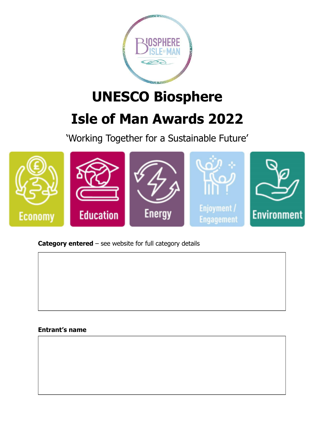

# **UNESCO Biosphere Isle of Man Awards 2022**

'Working Together for a Sustainable Future'



**Category entered** – see website for full category details

## **Entrant's name**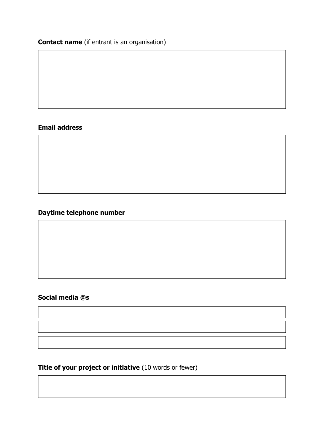**Contact name** (if entrant is an organisation)

## **Email address**

## **Daytime telephone number**

## **Social media @s**

**Title of your project or initiative** (10 words or fewer)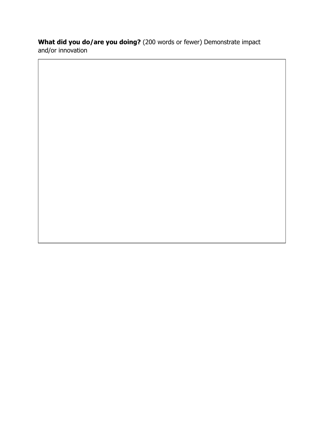## **What did you do/are you doing?** (200 words or fewer) Demonstrate impact and/or innovation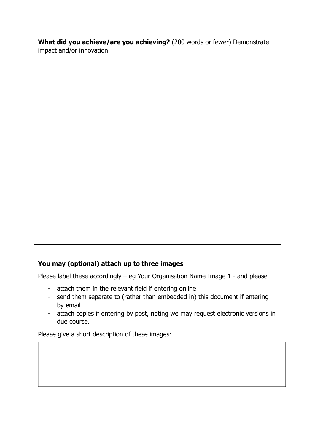**What did you achieve/are you achieving?** (200 words or fewer) Demonstrate impact and/or innovation

## **You may (optional) attach up to three images**

Please label these accordingly – eg Your Organisation Name Image 1 - and please

- attach them in the relevant field if entering online
- send them separate to (rather than embedded in) this document if entering by email
- attach copies if entering by post, noting we may request electronic versions in due course.

Please give a short description of these images: